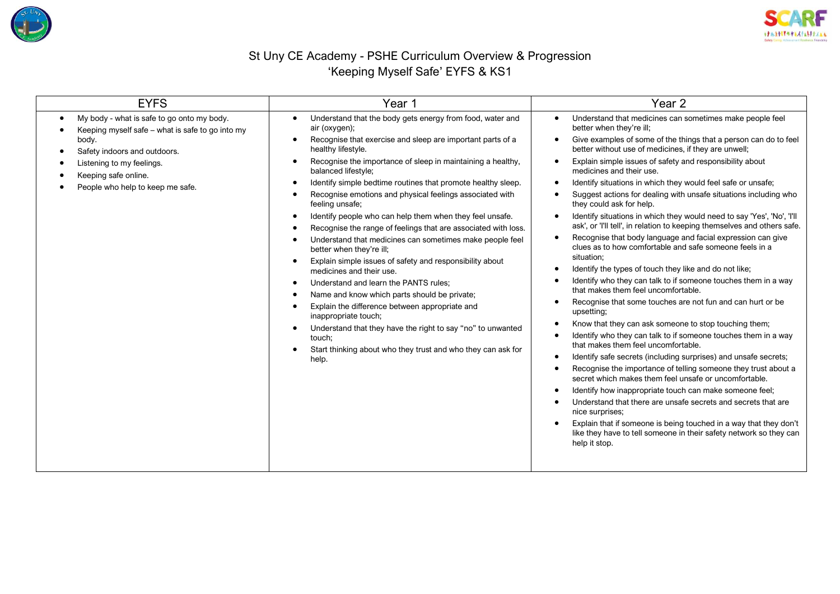



## St Uny CE Academy - PSHE Curriculum Overview & Progression 'Keeping Myself Safe' EYFS & KS1

| <b>EYFS</b>                                                                                                                                                                                                                                                     | Year 1                                                                                                                                                                                                                                                                                                                                                                                                                                                                                                                                                                                                                                                                                                                                                                                                                                                                                                                                                                                                                                 | Year <sub>2</sub>                                                                                                                                                                                                                                                                                                                                                                                                                                                                                                                                                                                                                                                                                                                                                                                                                                                                                                                                                                                                                                                                                                                                                                                                                                                                                                                                                                                                                                                                                                                                                                                                                                                                                                           |  |  |
|-----------------------------------------------------------------------------------------------------------------------------------------------------------------------------------------------------------------------------------------------------------------|----------------------------------------------------------------------------------------------------------------------------------------------------------------------------------------------------------------------------------------------------------------------------------------------------------------------------------------------------------------------------------------------------------------------------------------------------------------------------------------------------------------------------------------------------------------------------------------------------------------------------------------------------------------------------------------------------------------------------------------------------------------------------------------------------------------------------------------------------------------------------------------------------------------------------------------------------------------------------------------------------------------------------------------|-----------------------------------------------------------------------------------------------------------------------------------------------------------------------------------------------------------------------------------------------------------------------------------------------------------------------------------------------------------------------------------------------------------------------------------------------------------------------------------------------------------------------------------------------------------------------------------------------------------------------------------------------------------------------------------------------------------------------------------------------------------------------------------------------------------------------------------------------------------------------------------------------------------------------------------------------------------------------------------------------------------------------------------------------------------------------------------------------------------------------------------------------------------------------------------------------------------------------------------------------------------------------------------------------------------------------------------------------------------------------------------------------------------------------------------------------------------------------------------------------------------------------------------------------------------------------------------------------------------------------------------------------------------------------------------------------------------------------------|--|--|
| My body - what is safe to go onto my body.<br>$\bullet$<br>Keeping myself safe – what is safe to go into my<br>body.<br>Safety indoors and outdoors.<br>٠<br>Listening to my feelings.<br>Keeping safe online.<br>People who help to keep me safe.<br>$\bullet$ | Understand that the body gets energy from food, water and<br>air (oxygen);<br>Recognise that exercise and sleep are important parts of a<br>healthy lifestyle.<br>Recognise the importance of sleep in maintaining a healthy,<br>balanced lifestyle;<br>Identify simple bedtime routines that promote healthy sleep.<br>Recognise emotions and physical feelings associated with<br>feeling unsafe;<br>Identify people who can help them when they feel unsafe.<br>Recognise the range of feelings that are associated with loss.<br>Understand that medicines can sometimes make people feel<br>better when they're ill;<br>Explain simple issues of safety and responsibility about<br>medicines and their use.<br>Understand and learn the PANTS rules;<br>Name and know which parts should be private;<br>Explain the difference between appropriate and<br>inappropriate touch;<br>Understand that they have the right to say "no" to unwanted<br>touch;<br>Start thinking about who they trust and who they can ask for<br>help. | Understand that medicines can sometimes make people feel<br>better when they're ill;<br>Give examples of some of the things that a person can do to feel<br>$\bullet$<br>better without use of medicines, if they are unwell;<br>Explain simple issues of safety and responsibility about<br>medicines and their use.<br>Identify situations in which they would feel safe or unsafe;<br>Suggest actions for dealing with unsafe situations including who<br>they could ask for help.<br>Identify situations in which they would need to say 'Yes', 'No', 'I'll<br>$\bullet$<br>ask', or 'I'll tell', in relation to keeping themselves and others safe.<br>Recognise that body language and facial expression can give<br>clues as to how comfortable and safe someone feels in a<br>situation;<br>Identify the types of touch they like and do not like;<br>Identify who they can talk to if someone touches them in a way<br>that makes them feel uncomfortable.<br>Recognise that some touches are not fun and can hurt or be.<br>upsetting;<br>Know that they can ask someone to stop touching them;<br>Identify who they can talk to if someone touches them in a way<br>that makes them feel uncomfortable.<br>Identify safe secrets (including surprises) and unsafe secrets;<br>Recognise the importance of telling someone they trust about a<br>secret which makes them feel unsafe or uncomfortable.<br>Identify how inappropriate touch can make someone feel;<br>Understand that there are unsafe secrets and secrets that are<br>nice surprises;<br>Explain that if someone is being touched in a way that they don't<br>like they have to tell someone in their safety network so they can<br>help it stop. |  |  |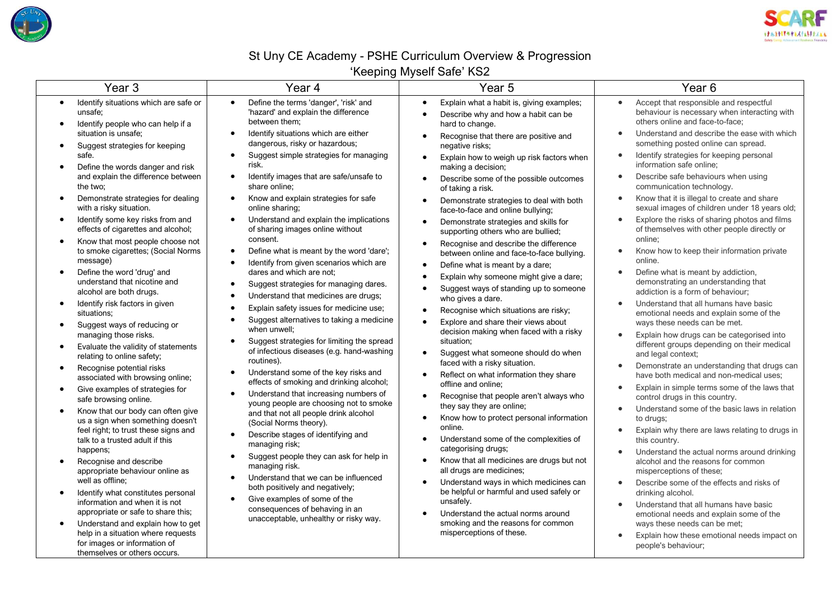



## St Uny CE Academy - PSHE Curriculum Overview & Progression

'Keeping Myself Safe' KS2

| Year <sub>3</sub>                                                                                                                                                                                                                                                                                                                                                                                                                                                                                                                                                                                                                                                                                                                                                                                                                                                                                                                                                                                                                                                                                                                                                                                                                           | Year 4                                                                                                                                                                                                                                                                                                                                                                                                                                                                                                                                                                                                                                                                                                                                                                                                                                                                                                                                                                                                                                                                                                                                                                                                                                                                                                                                                                                                                                                                                | Year 5                                                                                                                                                                                                                                                                                                                                                                                                                                                                                                                                                                                                                                                                                                                                                                                                                                                                                                                                                                                                                                                                                                                                                                                                                                                                                                                                                                                                                                                                                                                                                               | Year <sub>6</sub>                                                                                                                                                                                                                                                                                                                                                                                                                                                                                                                                                                                                                                                                                                                                                                                                                                                                                                                                                                                                                                                                                                                                                                                                                                                                                                                                                                                                                                                                                                                                                                                                                                                                            |  |
|---------------------------------------------------------------------------------------------------------------------------------------------------------------------------------------------------------------------------------------------------------------------------------------------------------------------------------------------------------------------------------------------------------------------------------------------------------------------------------------------------------------------------------------------------------------------------------------------------------------------------------------------------------------------------------------------------------------------------------------------------------------------------------------------------------------------------------------------------------------------------------------------------------------------------------------------------------------------------------------------------------------------------------------------------------------------------------------------------------------------------------------------------------------------------------------------------------------------------------------------|---------------------------------------------------------------------------------------------------------------------------------------------------------------------------------------------------------------------------------------------------------------------------------------------------------------------------------------------------------------------------------------------------------------------------------------------------------------------------------------------------------------------------------------------------------------------------------------------------------------------------------------------------------------------------------------------------------------------------------------------------------------------------------------------------------------------------------------------------------------------------------------------------------------------------------------------------------------------------------------------------------------------------------------------------------------------------------------------------------------------------------------------------------------------------------------------------------------------------------------------------------------------------------------------------------------------------------------------------------------------------------------------------------------------------------------------------------------------------------------|----------------------------------------------------------------------------------------------------------------------------------------------------------------------------------------------------------------------------------------------------------------------------------------------------------------------------------------------------------------------------------------------------------------------------------------------------------------------------------------------------------------------------------------------------------------------------------------------------------------------------------------------------------------------------------------------------------------------------------------------------------------------------------------------------------------------------------------------------------------------------------------------------------------------------------------------------------------------------------------------------------------------------------------------------------------------------------------------------------------------------------------------------------------------------------------------------------------------------------------------------------------------------------------------------------------------------------------------------------------------------------------------------------------------------------------------------------------------------------------------------------------------------------------------------------------------|----------------------------------------------------------------------------------------------------------------------------------------------------------------------------------------------------------------------------------------------------------------------------------------------------------------------------------------------------------------------------------------------------------------------------------------------------------------------------------------------------------------------------------------------------------------------------------------------------------------------------------------------------------------------------------------------------------------------------------------------------------------------------------------------------------------------------------------------------------------------------------------------------------------------------------------------------------------------------------------------------------------------------------------------------------------------------------------------------------------------------------------------------------------------------------------------------------------------------------------------------------------------------------------------------------------------------------------------------------------------------------------------------------------------------------------------------------------------------------------------------------------------------------------------------------------------------------------------------------------------------------------------------------------------------------------------|--|
| Identify situations which are safe or<br>$\bullet$<br>unsafe:<br>Identify people who can help if a<br>situation is unsafe;<br>Suggest strategies for keeping<br>safe.<br>Define the words danger and risk<br>$\bullet$<br>and explain the difference between<br>the two:<br>Demonstrate strategies for dealing<br>with a risky situation.<br>Identify some key risks from and<br>effects of cigarettes and alcohol;<br>Know that most people choose not<br>to smoke cigarettes; (Social Norms<br>message)<br>Define the word 'drug' and<br>understand that nicotine and<br>alcohol are both drugs.<br>Identify risk factors in given<br>situations;<br>Suggest ways of reducing or<br>managing those risks.<br>Evaluate the validity of statements<br>$\bullet$<br>relating to online safety;<br>Recognise potential risks<br>$\bullet$<br>associated with browsing online;<br>Give examples of strategies for<br>safe browsing online.<br>Know that our body can often give<br>$\bullet$<br>us a sign when something doesn't<br>feel right; to trust these signs and<br>talk to a trusted adult if this<br>happens;<br>Recognise and describe<br>appropriate behaviour online as<br>well as offline:<br>Identify what constitutes personal | Define the terms 'danger', 'risk' and<br>$\bullet$<br>'hazard' and explain the difference<br>between them:<br>Identify situations which are either<br>$\bullet$<br>dangerous, risky or hazardous;<br>Suggest simple strategies for managing<br>$\bullet$<br>risk.<br>Identify images that are safe/unsafe to<br>$\bullet$<br>share online;<br>Know and explain strategies for safe<br>$\bullet$<br>online sharing;<br>Understand and explain the implications<br>$\bullet$<br>of sharing images online without<br>consent.<br>Define what is meant by the word 'dare';<br>$\bullet$<br>Identify from given scenarios which are<br>$\bullet$<br>dares and which are not;<br>Suggest strategies for managing dares.<br>$\bullet$<br>Understand that medicines are drugs;<br>Explain safety issues for medicine use;<br>Suggest alternatives to taking a medicine<br>when unwell:<br>Suggest strategies for limiting the spread<br>$\bullet$<br>of infectious diseases (e.g. hand-washing<br>routines).<br>Understand some of the key risks and<br>effects of smoking and drinking alcohol;<br>Understand that increasing numbers of<br>$\bullet$<br>young people are choosing not to smoke<br>and that not all people drink alcohol<br>(Social Norms theory).<br>Describe stages of identifying and<br>$\bullet$<br>managing risk;<br>Suggest people they can ask for help in<br>$\bullet$<br>managing risk.<br>Understand that we can be influenced<br>both positively and negatively; | Explain what a habit is, giving examples;<br>$\bullet$<br>Describe why and how a habit can be<br>$\bullet$<br>hard to change.<br>Recognise that there are positive and<br>$\bullet$<br>negative risks;<br>Explain how to weigh up risk factors when<br>$\bullet$<br>making a decision;<br>Describe some of the possible outcomes<br>of taking a risk.<br>Demonstrate strategies to deal with both<br>$\bullet$<br>face-to-face and online bullying;<br>Demonstrate strategies and skills for<br>$\bullet$<br>supporting others who are bullied;<br>Recognise and describe the difference<br>$\bullet$<br>between online and face-to-face bullying.<br>Define what is meant by a dare;<br>$\bullet$<br>Explain why someone might give a dare;<br>$\bullet$<br>Suggest ways of standing up to someone<br>who gives a dare.<br>Recognise which situations are risky;<br>$\bullet$<br>Explore and share their views about<br>decision making when faced with a risky<br>situation:<br>Suggest what someone should do when<br>$\bullet$<br>faced with a risky situation.<br>Reflect on what information they share<br>offline and online;<br>Recognise that people aren't always who<br>$\bullet$<br>they say they are online;<br>Know how to protect personal information<br>$\bullet$<br>online.<br>Understand some of the complexities of<br>$\bullet$<br>categorising drugs;<br>Know that all medicines are drugs but not<br>$\bullet$<br>all drugs are medicines;<br>Understand ways in which medicines can<br>$\bullet$<br>be helpful or harmful and used safely or | Accept that responsible and respectful<br>$\bullet$<br>behaviour is necessary when interacting with<br>others online and face-to-face;<br>Understand and describe the ease with which<br>$\bullet$<br>something posted online can spread.<br>Identify strategies for keeping personal<br>$\bullet$<br>information safe online;<br>Describe safe behaviours when using<br>$\bullet$<br>communication technology.<br>Know that it is illegal to create and share<br>$\bullet$<br>sexual images of children under 18 years old;<br>Explore the risks of sharing photos and films<br>$\bullet$<br>of themselves with other people directly or<br>online:<br>Know how to keep their information private<br>online.<br>Define what is meant by addiction,<br>$\bullet$<br>demonstrating an understanding that<br>addiction is a form of behaviour:<br>Understand that all humans have basic<br>$\bullet$<br>emotional needs and explain some of the<br>ways these needs can be met.<br>Explain how drugs can be categorised into<br>$\bullet$<br>different groups depending on their medical<br>and legal context;<br>Demonstrate an understanding that drugs can<br>$\bullet$<br>have both medical and non-medical uses;<br>Explain in simple terms some of the laws that<br>$\bullet$<br>control drugs in this country.<br>Understand some of the basic laws in relation<br>$\bullet$<br>to drugs;<br>Explain why there are laws relating to drugs in<br>$\bullet$<br>this country.<br>Understand the actual norms around drinking<br>$\bullet$<br>alcohol and the reasons for common<br>misperceptions of these;<br>Describe some of the effects and risks of<br>$\bullet$<br>drinking alcohol. |  |
| information and when it is not<br>appropriate or safe to share this;<br>Understand and explain how to get<br>$\bullet$<br>help in a situation where requests<br>for images or information of<br>themselves or others occurs.                                                                                                                                                                                                                                                                                                                                                                                                                                                                                                                                                                                                                                                                                                                                                                                                                                                                                                                                                                                                                | Give examples of some of the<br>$\bullet$<br>consequences of behaving in an<br>unacceptable, unhealthy or risky way.                                                                                                                                                                                                                                                                                                                                                                                                                                                                                                                                                                                                                                                                                                                                                                                                                                                                                                                                                                                                                                                                                                                                                                                                                                                                                                                                                                  | unsafely.<br>Understand the actual norms around<br>smoking and the reasons for common<br>misperceptions of these.                                                                                                                                                                                                                                                                                                                                                                                                                                                                                                                                                                                                                                                                                                                                                                                                                                                                                                                                                                                                                                                                                                                                                                                                                                                                                                                                                                                                                                                    | Understand that all humans have basic<br>$\bullet$<br>emotional needs and explain some of the<br>ways these needs can be met;<br>Explain how these emotional needs impact on<br>$\bullet$<br>people's behaviour;                                                                                                                                                                                                                                                                                                                                                                                                                                                                                                                                                                                                                                                                                                                                                                                                                                                                                                                                                                                                                                                                                                                                                                                                                                                                                                                                                                                                                                                                             |  |